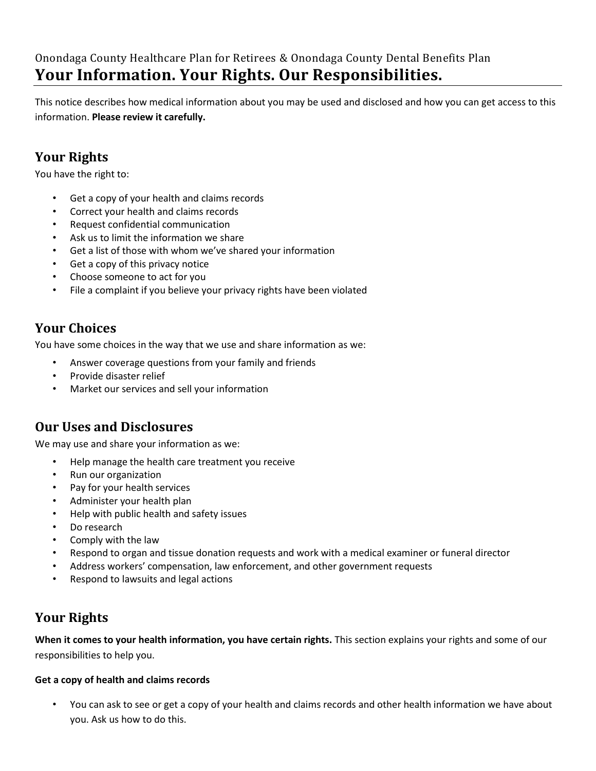## Onondaga County Healthcare Plan for Retirees & Onondaga County Dental Benefits Plan **Your Information. Your Rights. Our Responsibilities.**

This notice describes how medical information about you may be used and disclosed and how you can get access to this information. **Please review it carefully.**

# **Your Rights**

You have the right to:

- Get a copy of your health and claims records
- Correct your health and claims records
- Request confidential communication
- Ask us to limit the information we share
- Get a list of those with whom we've shared your information
- Get a copy of this privacy notice
- Choose someone to act for you
- File a complaint if you believe your privacy rights have been violated

# **Your Choices**

You have some choices in the way that we use and share information as we:

- Answer coverage questions from your family and friends
- Provide disaster relief
- Market our services and sell your information

## **Our Uses and Disclosures**

We may use and share your information as we:

- Help manage the health care treatment you receive
- Run our organization
- Pay for your health services
- Administer your health plan
- Help with public health and safety issues
- Do research
- Comply with the law
- Respond to organ and tissue donation requests and work with a medical examiner or funeral director
- Address workers' compensation, law enforcement, and other government requests
- Respond to lawsuits and legal actions

# **Your Rights**

**When it comes to your health information, you have certain rights.** This section explains your rights and some of our responsibilities to help you.

### **Get a copy of health and claims records**

• You can ask to see or get a copy of your health and claims records and other health information we have about you. Ask us how to do this.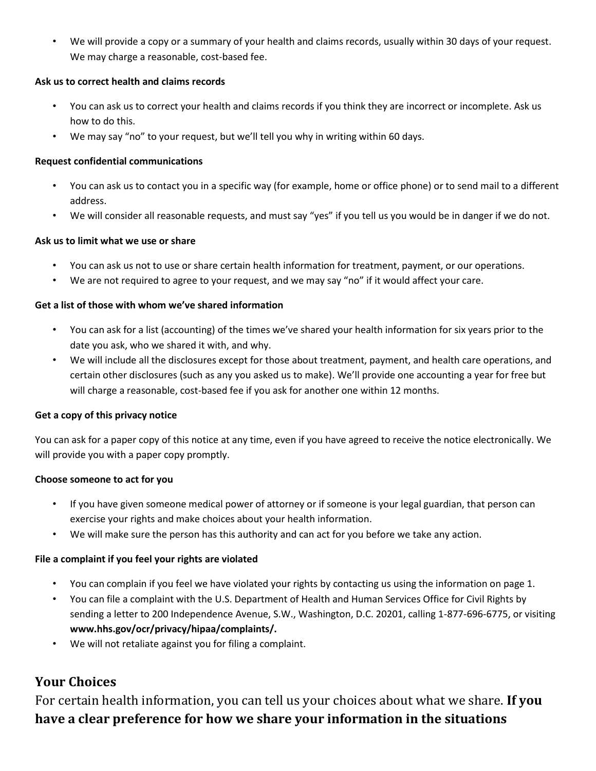• We will provide a copy or a summary of your health and claims records, usually within 30 days of your request. We may charge a reasonable, cost-based fee.

### **Ask us to correct health and claims records**

- You can ask us to correct your health and claims records if you think they are incorrect or incomplete. Ask us how to do this.
- We may say "no" to your request, but we'll tell you why in writing within 60 days.

### **Request confidential communications**

- You can ask us to contact you in a specific way (for example, home or office phone) or to send mail to a different address.
- We will consider all reasonable requests, and must say "yes" if you tell us you would be in danger if we do not.

### **Ask us to limit what we use or share**

- You can ask us not to use or share certain health information for treatment, payment, or our operations.
- We are not required to agree to your request, and we may say "no" if it would affect your care.

### **Get a list of those with whom we've shared information**

- You can ask for a list (accounting) of the times we've shared your health information for six years prior to the date you ask, who we shared it with, and why.
- We will include all the disclosures except for those about treatment, payment, and health care operations, and certain other disclosures (such as any you asked us to make). We'll provide one accounting a year for free but will charge a reasonable, cost-based fee if you ask for another one within 12 months.

## **Get a copy of this privacy notice**

You can ask for a paper copy of this notice at any time, even if you have agreed to receive the notice electronically. We will provide you with a paper copy promptly.

## **Choose someone to act for you**

- If you have given someone medical power of attorney or if someone is your legal guardian, that person can exercise your rights and make choices about your health information.
- We will make sure the person has this authority and can act for you before we take any action.

## **File a complaint if you feel your rights are violated**

- You can complain if you feel we have violated your rights by contacting us using the information on page 1.
- You can file a complaint with the U.S. Department of Health and Human Services Office for Civil Rights by sending a letter to 200 Independence Avenue, S.W., Washington, D.C. 20201, calling 1-877-696-6775, or visiting **www.hhs.gov/ocr/privacy/hipaa/complaints/.**
- We will not retaliate against you for filing a complaint.

# **Your Choices**

For certain health information, you can tell us your choices about what we share. **If you have a clear preference for how we share your information in the situations**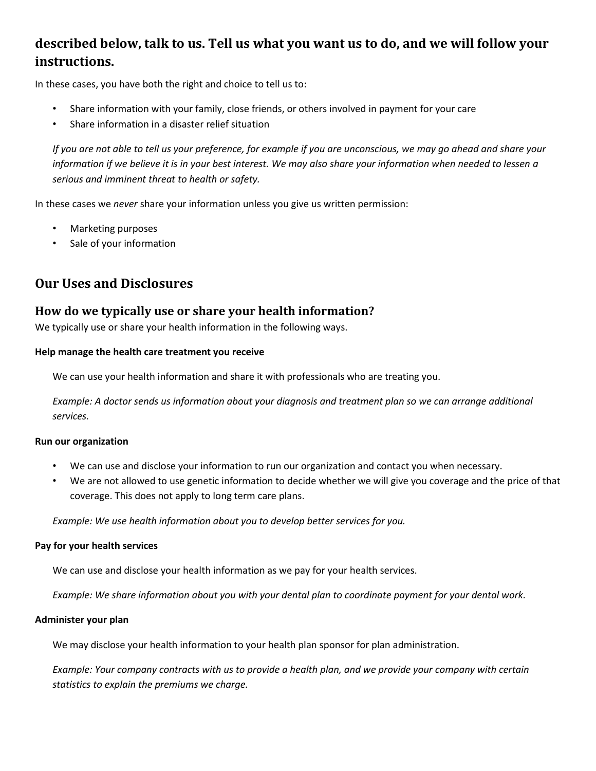# **described below, talk to us. Tell us what you want us to do, and we will follow your instructions.**

In these cases, you have both the right and choice to tell us to:

- Share information with your family, close friends, or others involved in payment for your care
- Share information in a disaster relief situation

*If you are not able to tell us your preference, for example if you are unconscious, we may go ahead and share your information if we believe it is in your best interest. We may also share your information when needed to lessen a serious and imminent threat to health or safety.*

In these cases we *never* share your information unless you give us written permission:

- Marketing purposes
- Sale of your information

## **Our Uses and Disclosures**

### **How do we typically use or share your health information?**

We typically use or share your health information in the following ways.

#### **Help manage the health care treatment you receive**

We can use your health information and share it with professionals who are treating you.

*Example: A doctor sends us information about your diagnosis and treatment plan so we can arrange additional services.*

#### **Run our organization**

- We can use and disclose your information to run our organization and contact you when necessary.
- We are not allowed to use genetic information to decide whether we will give you coverage and the price of that coverage. This does not apply to long term care plans.

*Example: We use health information about you to develop better services for you.*

#### **Pay for your health services**

We can use and disclose your health information as we pay for your health services.

*Example: We share information about you with your dental plan to coordinate payment for your dental work.*

#### **Administer your plan**

We may disclose your health information to your health plan sponsor for plan administration.

*Example: Your company contracts with us to provide a health plan, and we provide your company with certain statistics to explain the premiums we charge.*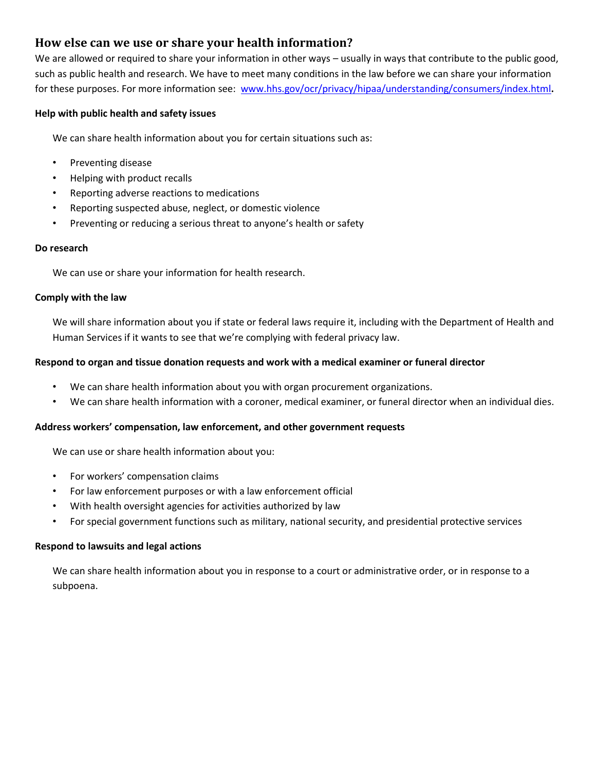## **How else can we use or share your health information?**

We are allowed or required to share your information in other ways – usually in ways that contribute to the public good, such as public health and research. We have to meet many conditions in the law before we can share your information for these purposes. For more information see: [www.hhs.gov/ocr/privacy/hipaa/understanding/consumers/index.html](http://www.hhs.gov/ocr/privacy/hipaa/understanding/consumers/index.html)**.**

#### **Help with public health and safety issues**

We can share health information about you for certain situations such as:

- Preventing disease
- Helping with product recalls
- Reporting adverse reactions to medications
- Reporting suspected abuse, neglect, or domestic violence
- Preventing or reducing a serious threat to anyone's health or safety

#### **Do research**

We can use or share your information for health research.

#### **Comply with the law**

We will share information about you if state or federal laws require it, including with the Department of Health and Human Services if it wants to see that we're complying with federal privacy law.

#### **Respond to organ and tissue donation requests and work with a medical examiner or funeral director**

- We can share health information about you with organ procurement organizations.
- We can share health information with a coroner, medical examiner, or funeral director when an individual dies.

#### **Address workers' compensation, law enforcement, and other government requests**

We can use or share health information about you:

- For workers' compensation claims
- For law enforcement purposes or with a law enforcement official
- With health oversight agencies for activities authorized by law
- For special government functions such as military, national security, and presidential protective services

#### **Respond to lawsuits and legal actions**

We can share health information about you in response to a court or administrative order, or in response to a subpoena.